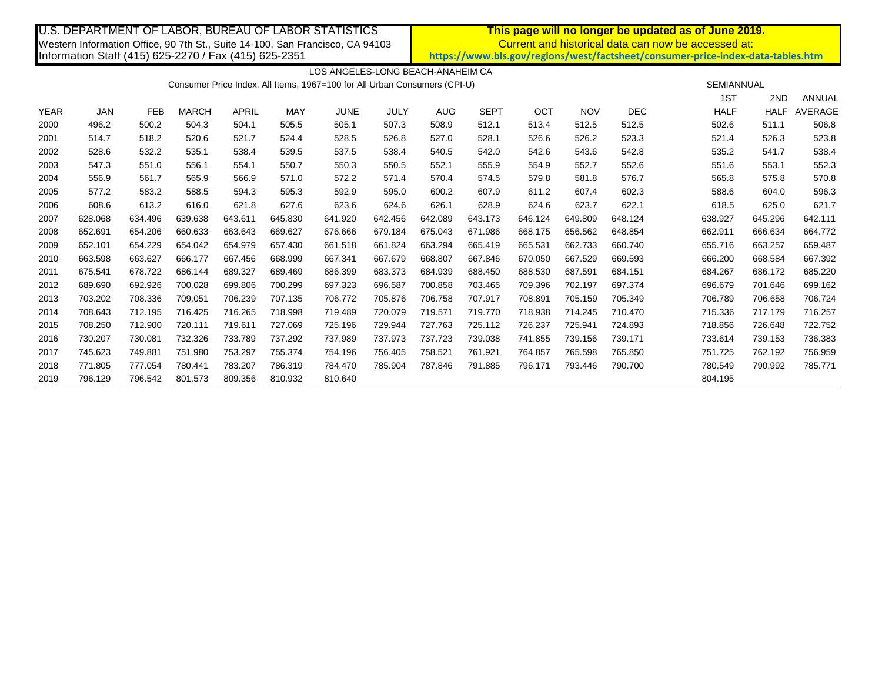| U.S. DEPARTMENT OF LABOR, BUREAU OF LABOR STATISTICS                          |            |            |              |         |            |             |         | <u>This page will no longer be updated as of June 2019.</u>                     |             |         |            |                   |             |             |         |  |
|-------------------------------------------------------------------------------|------------|------------|--------------|---------|------------|-------------|---------|---------------------------------------------------------------------------------|-------------|---------|------------|-------------------|-------------|-------------|---------|--|
| Western Information Office, 90 7th St., Suite 14-100, San Francisco, CA 94103 |            |            |              |         |            |             |         | Current and historical data can now be accessed at:                             |             |         |            |                   |             |             |         |  |
| Information Staff (415) 625-2270 / Fax (415) 625-2351                         |            |            |              |         |            |             |         | https://www.bls.gov/regions/west/factsheet/consumer-price-index-data-tables.htm |             |         |            |                   |             |             |         |  |
|                                                                               |            |            |              |         |            |             |         |                                                                                 |             |         |            |                   |             |             |         |  |
| LOS ANGELES-LONG BEACH-ANAHEIM CA                                             |            |            |              |         |            |             |         |                                                                                 |             |         |            |                   |             |             |         |  |
| Consumer Price Index, All Items, 1967=100 for All Urban Consumers (CPI-U)     |            |            |              |         |            |             |         |                                                                                 |             |         |            | <b>SEMIANNUAL</b> |             |             |         |  |
|                                                                               |            |            |              |         |            |             |         |                                                                                 |             |         |            |                   | 1ST         | 2ND         | ANNUAL  |  |
| <b>YEAR</b>                                                                   | <b>JAN</b> | <b>FEB</b> | <b>MARCH</b> | APRIL   | <b>MAY</b> | <b>JUNE</b> | JULY    | <b>AUG</b>                                                                      | <b>SEPT</b> | OCT     | <b>NOV</b> | <b>DEC</b>        | <b>HALF</b> | <b>HALF</b> | AVERAGE |  |
| 2000                                                                          | 496.2      | 500.2      | 504.3        | 504.1   | 505.5      | 505.1       | 507.3   | 508.9                                                                           | 512.1       | 513.4   | 512.5      | 512.5             | 502.6       | 511.1       | 506.8   |  |
| 2001                                                                          | 514.7      | 518.2      | 520.6        | 521.7   | 524.4      | 528.5       | 526.8   | 527.0                                                                           | 528.1       | 526.6   | 526.2      | 523.3             | 521.4       | 526.3       | 523.8   |  |
| 2002                                                                          | 528.6      | 532.2      | 535.1        | 538.4   | 539.5      | 537.5       | 538.4   | 540.5                                                                           | 542.0       | 542.6   | 543.6      | 542.8             | 535.2       | 541.7       | 538.4   |  |
| 2003                                                                          | 547.3      | 551.0      | 556.1        | 554.1   | 550.7      | 550.3       | 550.5   | 552.1                                                                           | 555.9       | 554.9   | 552.7      | 552.6             | 551.6       | 553.1       | 552.3   |  |
| 2004                                                                          | 556.9      | 561.7      | 565.9        | 566.9   | 571.0      | 572.2       | 571.4   | 570.4                                                                           | 574.5       | 579.8   | 581.8      | 576.7             | 565.8       | 575.8       | 570.8   |  |
| 2005                                                                          | 577.2      | 583.2      | 588.5        | 594.3   | 595.3      | 592.9       | 595.0   | 600.2                                                                           | 607.9       | 611.2   | 607.4      | 602.3             | 588.6       | 604.0       | 596.3   |  |
| 2006                                                                          | 608.6      | 613.2      | 616.0        | 621.8   | 627.6      | 623.6       | 624.6   | 626.1                                                                           | 628.9       | 624.6   | 623.7      | 622.1             | 618.5       | 625.0       | 621.7   |  |
| 2007                                                                          | 628.068    | 634.496    | 639.638      | 643.611 | 645.830    | 641.920     | 642.456 | 642.089                                                                         | 643.173     | 646.124 | 649.809    | 648.124           | 638.927     | 645.296     | 642.111 |  |
| 2008                                                                          | 652.691    | 654.206    | 660.633      | 663.643 | 669.627    | 676.666     | 679.184 | 675.043                                                                         | 671.986     | 668.175 | 656.562    | 648.854           | 662.911     | 666.634     | 664.772 |  |
| 2009                                                                          | 652.101    | 654.229    | 654.042      | 654.979 | 657.430    | 661.518     | 661.824 | 663.294                                                                         | 665.419     | 665.531 | 662.733    | 660.740           | 655.716     | 663.257     | 659.487 |  |
| 2010                                                                          | 663.598    | 663.627    | 666.177      | 667.456 | 668.999    | 667.341     | 667.679 | 668.807                                                                         | 667.846     | 670.050 | 667.529    | 669.593           | 666.200     | 668.584     | 667.392 |  |
| 2011                                                                          | 675.541    | 678.722    | 686.144      | 689.327 | 689.469    | 686.399     | 683.373 | 684.939                                                                         | 688.450     | 688.530 | 687.591    | 684.151           | 684.267     | 686.172     | 685.220 |  |
| 2012                                                                          | 689.690    | 692.926    | 700.028      | 699.806 | 700.299    | 697.323     | 696.587 | 700.858                                                                         | 703.465     | 709.396 | 702.197    | 697.374           | 696.679     | 701.646     | 699.162 |  |

 703.202 708.336 709.051 706.239 707.135 706.772 705.876 706.758 707.917 708.891 705.159 705.349 706.789 706.658 706.724 708.643 712.195 716.425 716.265 718.998 719.489 720.079 719.571 719.770 718.938 714.245 710.470 715.336 717.179 716.257 708.250 712.900 720.111 719.611 727.069 725.196 729.944 727.763 725.112 726.237 725.941 724.893 718.856 726.648 722.752 730.207 730.081 732.326 733.789 737.292 737.989 737.973 737.723 739.038 741.855 739.156 739.171 733.614 739.153 736.383 745.623 749.881 751.980 753.297 755.374 754.196 756.405 758.521 761.921 764.857 765.598 765.850 751.725 762.192 756.959 771.805 777.054 780.441 783.207 786.319 784.470 785.904 787.846 791.885 796.171 793.446 790.700 780.549 790.992 785.771

2019 796.129 796.542 801.573 809.356 810.932 810.640 804.195 804.195 804.195 804.195